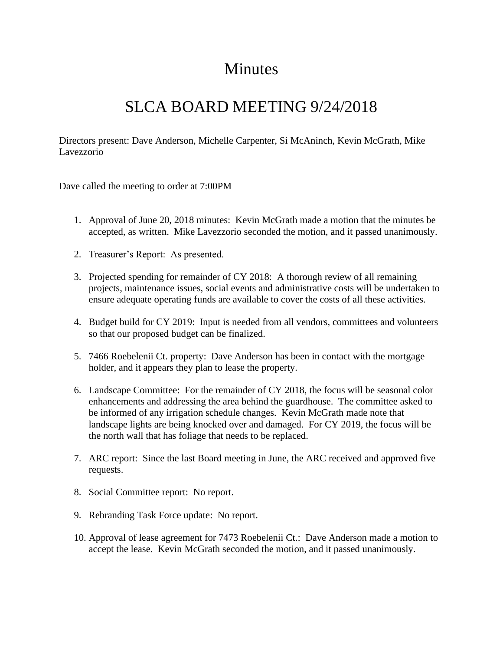## Minutes

## SLCA BOARD MEETING 9/24/2018

Directors present: Dave Anderson, Michelle Carpenter, Si McAninch, Kevin McGrath, Mike Lavezzorio

Dave called the meeting to order at 7:00PM

- 1. Approval of June 20, 2018 minutes: Kevin McGrath made a motion that the minutes be accepted, as written. Mike Lavezzorio seconded the motion, and it passed unanimously.
- 2. Treasurer's Report: As presented.
- 3. Projected spending for remainder of CY 2018: A thorough review of all remaining projects, maintenance issues, social events and administrative costs will be undertaken to ensure adequate operating funds are available to cover the costs of all these activities.
- 4. Budget build for CY 2019: Input is needed from all vendors, committees and volunteers so that our proposed budget can be finalized.
- 5. 7466 Roebelenii Ct. property: Dave Anderson has been in contact with the mortgage holder, and it appears they plan to lease the property.
- 6. Landscape Committee: For the remainder of CY 2018, the focus will be seasonal color enhancements and addressing the area behind the guardhouse. The committee asked to be informed of any irrigation schedule changes. Kevin McGrath made note that landscape lights are being knocked over and damaged. For CY 2019, the focus will be the north wall that has foliage that needs to be replaced.
- 7. ARC report: Since the last Board meeting in June, the ARC received and approved five requests.
- 8. Social Committee report: No report.
- 9. Rebranding Task Force update: No report.
- 10. Approval of lease agreement for 7473 Roebelenii Ct.: Dave Anderson made a motion to accept the lease. Kevin McGrath seconded the motion, and it passed unanimously.